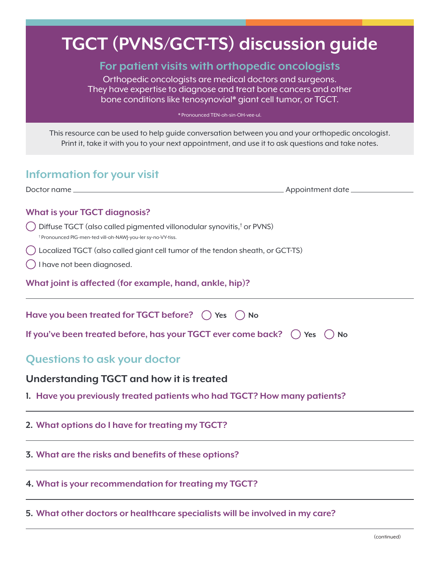# **TGCT (PVNS/GCT-TS) discussion guide**

## **For patient visits with orthopedic oncologists**

Orthopedic oncologists are medical doctors and surgeons. They have expertise to diagnose and treat bone cancers and other bone conditions like tenosynovial\* giant cell tumor, or TGCT.

\* Pronounced TEN-oh-sin-OH-vee-ul.

This resource can be used to help guide conversation between you and your orthopedic oncologist. Print it, take it with you to your next appointment, and use it to ask questions and take notes.

# **Information for your visit**

| Doctor name_ | Appointment date _ |
|--------------|--------------------|
|              |                    |
|              |                    |

#### **What is your TGCT diagnosis?**

- Diffuse TGCT (also called pigmented villonodular synovitis,<sup>†</sup> or PVNS)<br><sup>† Propounced PIG men tot vill ob NAMLYou let av po VY tiss</sup> Pronounced PIG-men-ted vill-oh-NAWJ-you-ler sy-no-VY-tiss.
- Localized TGCT (also called giant cell tumor of the tendon sheath, or GCT-TS)
- I have not been diagnosed.

**What joint is affected (for example, hand, ankle, hip)?**

| Have you been treated for TGCT before? $\bigcap$ Yes $\bigcap$ No                       |  |
|-----------------------------------------------------------------------------------------|--|
| If you've been treated before, has your TGCT ever come back? $\bigcap$ Yes $\bigcap$ No |  |
| <b>Questions to ask your doctor</b>                                                     |  |
| Understanding TGCT and how it is treated                                                |  |
| 1. Have you previously treated patients who had TGCT? How many patients?                |  |
| 2. What options do I have for treating my TGCT?                                         |  |

**3. What are the risks and benefits of these options?**

**4. What is your recommendation for treating my TGCT?**

**5. What other doctors or healthcare specialists will be involved in my care?**